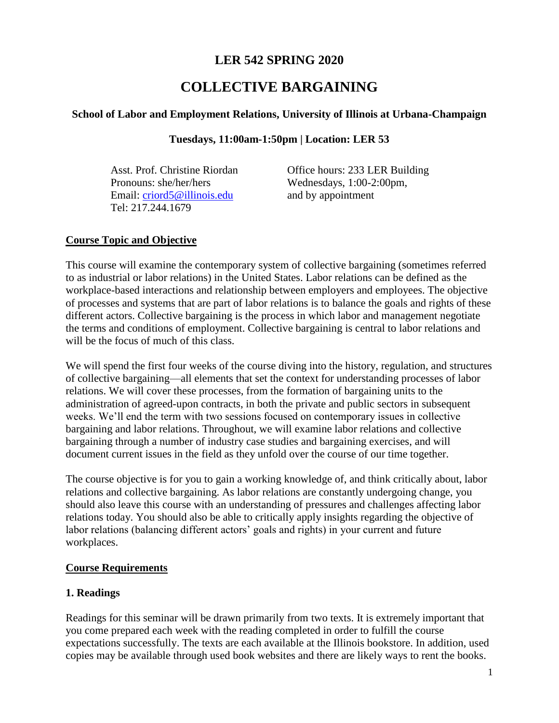# **LER 542 SPRING 2020**

# **COLLECTIVE BARGAINING**

## **School of Labor and Employment Relations, University of Illinois at Urbana-Champaign**

#### **Tuesdays, 11:00am-1:50pm | Location: LER 53**

Pronouns: she/her/hers Wednesdays, 1:00-2:00pm, Email: [criord5@illinois.edu](mailto:criord5@illinois.edu) and by appointment Tel: 217.244.1679

Asst. Prof. Christine Riordan Office hours: 233 LER Building

#### **Course Topic and Objective**

This course will examine the contemporary system of collective bargaining (sometimes referred to as industrial or labor relations) in the United States. Labor relations can be defined as the workplace-based interactions and relationship between employers and employees. The objective of processes and systems that are part of labor relations is to balance the goals and rights of these different actors. Collective bargaining is the process in which labor and management negotiate the terms and conditions of employment. Collective bargaining is central to labor relations and will be the focus of much of this class.

We will spend the first four weeks of the course diving into the history, regulation, and structures of collective bargaining—all elements that set the context for understanding processes of labor relations. We will cover these processes, from the formation of bargaining units to the administration of agreed-upon contracts, in both the private and public sectors in subsequent weeks. We'll end the term with two sessions focused on contemporary issues in collective bargaining and labor relations. Throughout, we will examine labor relations and collective bargaining through a number of industry case studies and bargaining exercises, and will document current issues in the field as they unfold over the course of our time together.

The course objective is for you to gain a working knowledge of, and think critically about, labor relations and collective bargaining. As labor relations are constantly undergoing change, you should also leave this course with an understanding of pressures and challenges affecting labor relations today. You should also be able to critically apply insights regarding the objective of labor relations (balancing different actors' goals and rights) in your current and future workplaces.

# **Course Requirements**

# **1. Readings**

Readings for this seminar will be drawn primarily from two texts. It is extremely important that you come prepared each week with the reading completed in order to fulfill the course expectations successfully. The texts are each available at the Illinois bookstore. In addition, used copies may be available through used book websites and there are likely ways to rent the books.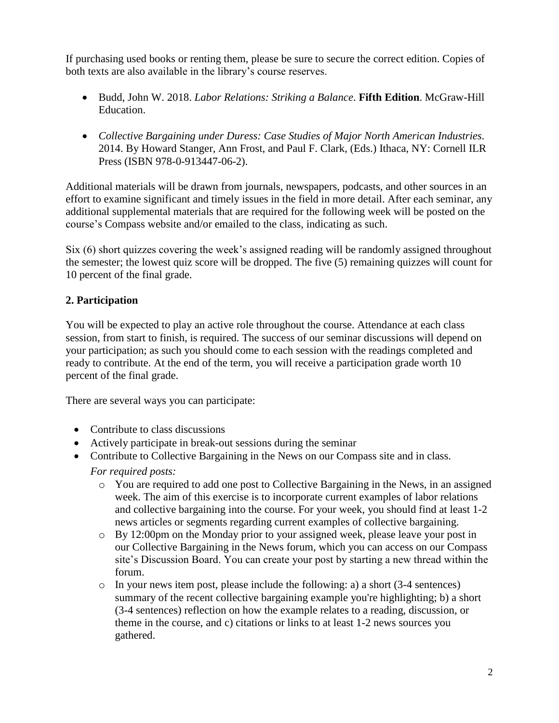If purchasing used books or renting them, please be sure to secure the correct edition. Copies of both texts are also available in the library's course reserves.

- Budd, John W. 2018. *Labor Relations: Striking a Balance*. **Fifth Edition**. McGraw-Hill Education.
- *Collective Bargaining under Duress: Case Studies of Major North American Industries.* 2014. By Howard Stanger, Ann Frost, and Paul F. Clark, (Eds.) Ithaca, NY: Cornell ILR Press (ISBN 978-0-913447-06-2).

Additional materials will be drawn from journals, newspapers, podcasts, and other sources in an effort to examine significant and timely issues in the field in more detail. After each seminar, any additional supplemental materials that are required for the following week will be posted on the course's Compass website and/or emailed to the class, indicating as such.

Six (6) short quizzes covering the week's assigned reading will be randomly assigned throughout the semester; the lowest quiz score will be dropped. The five (5) remaining quizzes will count for 10 percent of the final grade.

# **2. Participation**

You will be expected to play an active role throughout the course. Attendance at each class session, from start to finish, is required. The success of our seminar discussions will depend on your participation; as such you should come to each session with the readings completed and ready to contribute. At the end of the term, you will receive a participation grade worth 10 percent of the final grade.

There are several ways you can participate:

- Contribute to class discussions
- Actively participate in break-out sessions during the seminar
- Contribute to Collective Bargaining in the News on our Compass site and in class. *For required posts:*
	- o You are required to add one post to Collective Bargaining in the News, in an assigned week. The aim of this exercise is to incorporate current examples of labor relations and collective bargaining into the course. For your week, you should find at least 1-2 news articles or segments regarding current examples of collective bargaining.
	- o By 12:00pm on the Monday prior to your assigned week, please leave your post in our Collective Bargaining in the News forum, which you can access on our Compass site's Discussion Board. You can create your post by starting a new thread within the forum.
	- $\circ$  In your news item post, please include the following: a) a short (3-4 sentences) summary of the recent collective bargaining example you're highlighting; b) a short (3-4 sentences) reflection on how the example relates to a reading, discussion, or theme in the course, and c) citations or links to at least 1-2 news sources you gathered.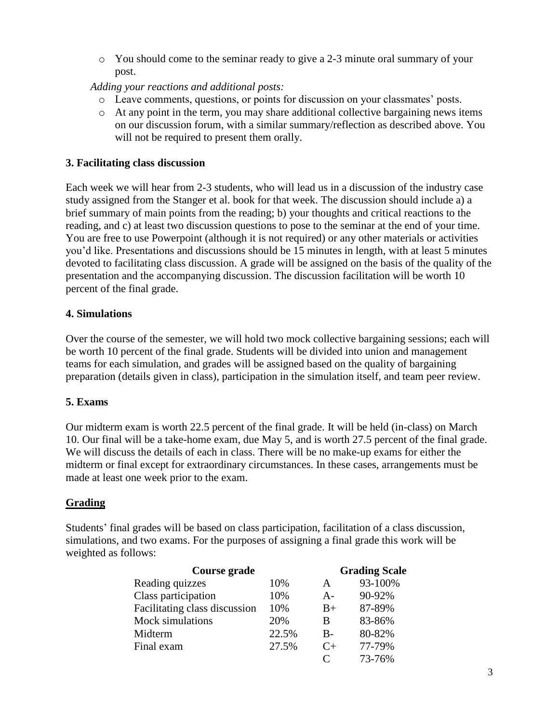o You should come to the seminar ready to give a 2-3 minute oral summary of your post.

*Adding your reactions and additional posts:* 

- o Leave comments, questions, or points for discussion on your classmates' posts.
- o At any point in the term, you may share additional collective bargaining news items on our discussion forum, with a similar summary/reflection as described above. You will not be required to present them orally.

# **3. Facilitating class discussion**

Each week we will hear from 2-3 students, who will lead us in a discussion of the industry case study assigned from the Stanger et al. book for that week. The discussion should include a) a brief summary of main points from the reading; b) your thoughts and critical reactions to the reading, and c) at least two discussion questions to pose to the seminar at the end of your time. You are free to use Powerpoint (although it is not required) or any other materials or activities you'd like. Presentations and discussions should be 15 minutes in length, with at least 5 minutes devoted to facilitating class discussion. A grade will be assigned on the basis of the quality of the presentation and the accompanying discussion. The discussion facilitation will be worth 10 percent of the final grade.

# **4. Simulations**

Over the course of the semester, we will hold two mock collective bargaining sessions; each will be worth 10 percent of the final grade. Students will be divided into union and management teams for each simulation, and grades will be assigned based on the quality of bargaining preparation (details given in class), participation in the simulation itself, and team peer review.

# **5. Exams**

Our midterm exam is worth 22.5 percent of the final grade. It will be held (in-class) on March 10. Our final will be a take-home exam, due May 5, and is worth 27.5 percent of the final grade. We will discuss the details of each in class. There will be no make-up exams for either the midterm or final except for extraordinary circumstances. In these cases, arrangements must be made at least one week prior to the exam.

# **Grading**

Students' final grades will be based on class participation, facilitation of a class discussion, simulations, and two exams. For the purposes of assigning a final grade this work will be weighted as follows:

| Course grade                  |       | <b>Grading Scale</b> |         |
|-------------------------------|-------|----------------------|---------|
| Reading quizzes               | 10%   | А                    | 93-100% |
| Class participation           | 10%   | $A -$                | 90-92%  |
| Facilitating class discussion | 10%   | $B+$                 | 87-89%  |
| Mock simulations              | 20%   | B                    | 83-86%  |
| Midterm                       | 22.5% | $B -$                | 80-82%  |
| Final exam                    | 27.5% | $C_{\pm}$            | 77-79%  |
|                               |       |                      | 73-76%  |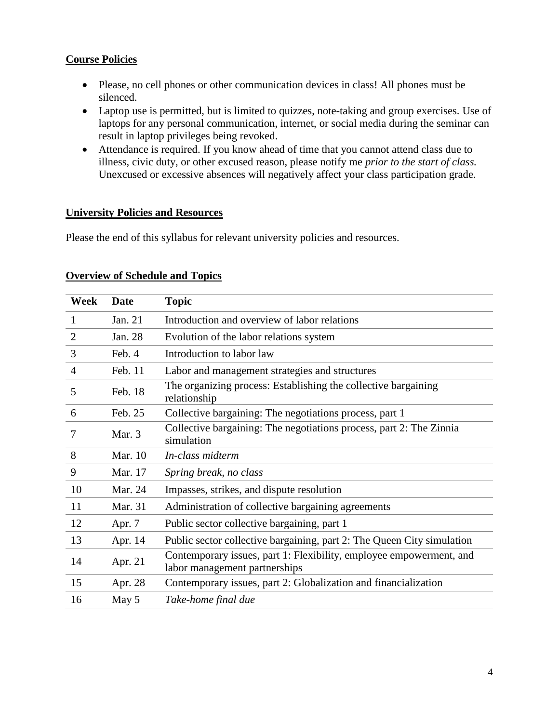# **Course Policies**

- Please, no cell phones or other communication devices in class! All phones must be silenced.
- Laptop use is permitted, but is limited to quizzes, note-taking and group exercises. Use of laptops for any personal communication, internet, or social media during the seminar can result in laptop privileges being revoked.
- Attendance is required. If you know ahead of time that you cannot attend class due to illness, civic duty, or other excused reason, please notify me *prior to the start of class.* Unexcused or excessive absences will negatively affect your class participation grade.

#### **University Policies and Resources**

Please the end of this syllabus for relevant university policies and resources.

| Week           | <b>Date</b> | <b>Topic</b>                                                                                         |
|----------------|-------------|------------------------------------------------------------------------------------------------------|
| 1              | Jan. 21     | Introduction and overview of labor relations                                                         |
| $\overline{2}$ | Jan. 28     | Evolution of the labor relations system                                                              |
| 3              | Feb. 4      | Introduction to labor law                                                                            |
| $\overline{4}$ | Feb. 11     | Labor and management strategies and structures                                                       |
| 5              | Feb. 18     | The organizing process: Establishing the collective bargaining<br>relationship                       |
| 6              | Feb. 25     | Collective bargaining: The negotiations process, part 1                                              |
| 7              | Mar. 3      | Collective bargaining: The negotiations process, part 2: The Zinnia<br>simulation                    |
| 8              | Mar. 10     | In-class midterm                                                                                     |
| 9              | Mar. 17     | Spring break, no class                                                                               |
| 10             | Mar. 24     | Impasses, strikes, and dispute resolution                                                            |
| 11             | Mar. 31     | Administration of collective bargaining agreements                                                   |
| 12             | Apr. 7      | Public sector collective bargaining, part 1                                                          |
| 13             | Apr. 14     | Public sector collective bargaining, part 2: The Queen City simulation                               |
| 14             | Apr. 21     | Contemporary issues, part 1: Flexibility, employee empowerment, and<br>labor management partnerships |
| 15             | Apr. 28     | Contemporary issues, part 2: Globalization and financialization                                      |
| 16             | May 5       | Take-home final due                                                                                  |

#### **Overview of Schedule and Topics**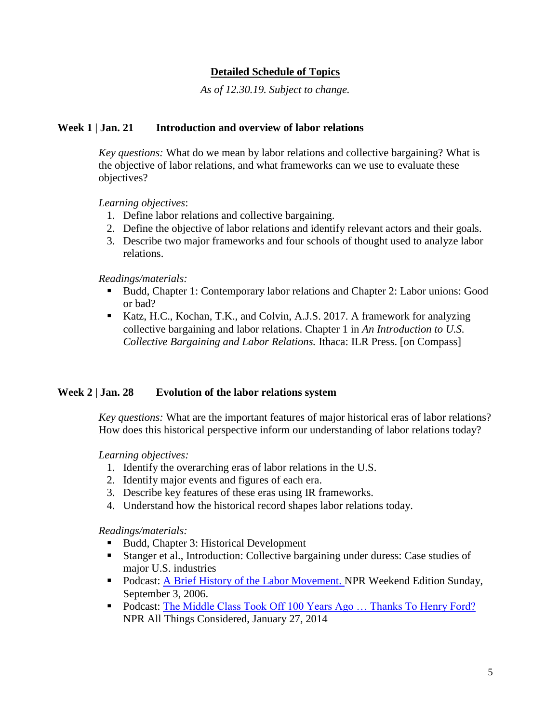# **Detailed Schedule of Topics**

*As of 12.30.19. Subject to change.*

#### **Week 1 | Jan. 21 Introduction and overview of labor relations**

*Key questions:* What do we mean by labor relations and collective bargaining? What is the objective of labor relations, and what frameworks can we use to evaluate these objectives?

*Learning objectives*:

- 1. Define labor relations and collective bargaining.
- 2. Define the objective of labor relations and identify relevant actors and their goals.
- 3. Describe two major frameworks and four schools of thought used to analyze labor relations.

*Readings/materials:*

- Budd, Chapter 1: Contemporary labor relations and Chapter 2: Labor unions: Good or bad?
- Katz, H.C., Kochan, T.K., and Colvin, A.J.S. 2017. A framework for analyzing collective bargaining and labor relations. Chapter 1 in *An Introduction to U.S. Collective Bargaining and Labor Relations.* Ithaca: ILR Press. [on Compass]

#### **Week 2 | Jan. 28 Evolution of the labor relations system**

*Key questions:* What are the important features of major historical eras of labor relations? How does this historical perspective inform our understanding of labor relations today?

*Learning objectives:*

- 1. Identify the overarching eras of labor relations in the U.S.
- 2. Identify major events and figures of each era.
- 3. Describe key features of these eras using IR frameworks.
- 4. Understand how the historical record shapes labor relations today.

*Readings/materials:*

- Budd, Chapter 3: Historical Development
- Stanger et al., Introduction: Collective bargaining under duress: Case studies of major U.S. industries
- Podcast: [A Brief History of the Labor Movement.](http://www.npr.org/templates/story/story.php?storyId=5758863) NPR Weekend Edition Sunday, September 3, 2006.
- Podcast: The Middle Class Took Off 100 Years Ago ... Thanks To Henry Ford? NPR All Things Considered, January 27, 2014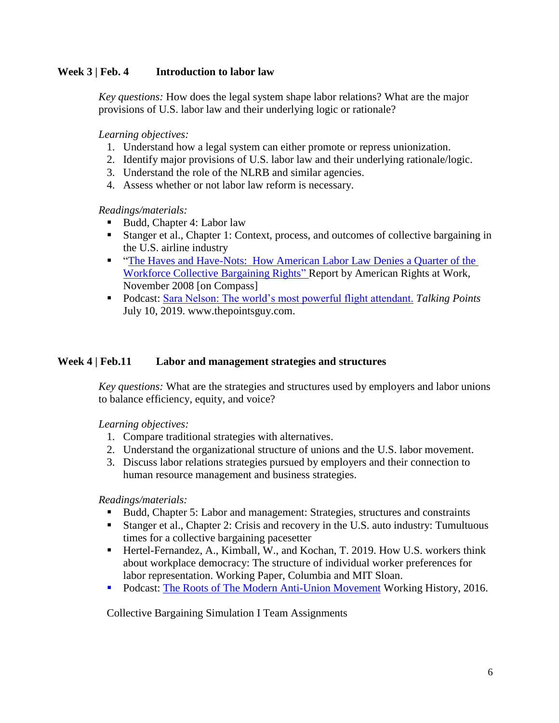### **Week 3 | Feb. 4 Introduction to labor law**

*Key questions:* How does the legal system shape labor relations? What are the major provisions of U.S. labor law and their underlying logic or rationale?

*Learning objectives:*

- 1. Understand how a legal system can either promote or repress unionization.
- 2. Identify major provisions of U.S. labor law and their underlying rationale/logic.
- 3. Understand the role of the NLRB and similar agencies.
- 4. Assess whether or not labor law reform is necessary.

*Readings/materials:*

- Budd, Chapter 4: Labor law
- Stanger et al., Chapter 1: Context, process, and outcomes of collective bargaining in the U.S. airline industry
- **The Haves and Have-Nots: How American Labor Law Denies a Quarter of the** [Workforce Collective Bargaining Rights"](http://www.jwj.org/wp-content/uploads/2014/04/havesandhavenots_nlracoverage.pdf) Report by American Rights at Work, November 2008 [on Compass]
- Podcast: [Sara Nelson: The world's most powerful flight attendant.](https://thepointsguy.com/news/flight-attendant-leader-sara-nelson-president-of-afa-on-talking-points-podcast/) *Talking Points* July 10, 2019. www.thepointsguy.com.

#### **Week 4 | Feb.11 Labor and management strategies and structures**

*Key questions:* What are the strategies and structures used by employers and labor unions to balance efficiency, equity, and voice?

*Learning objectives:*

- 1. Compare traditional strategies with alternatives.
- 2. Understand the organizational structure of unions and the U.S. labor movement.
- 3. Discuss labor relations strategies pursued by employers and their connection to human resource management and business strategies.

*Readings/materials:*

- Budd, Chapter 5: Labor and management: Strategies, structures and constraints
- Stanger et al., Chapter 2: Crisis and recovery in the U.S. auto industry: Tumultuous times for a collective bargaining pacesetter
- Hertel-Fernandez, A., Kimball, W., and Kochan, T. 2019. How U.S. workers think about workplace democracy: The structure of individual worker preferences for labor representation. Working Paper, Columbia and MIT Sloan.
- **Podcast: [The Roots of The Modern Anti-Union Movement](https://soundcloud.com/southernlaborstudies/the-roots-of-the-modern-anti-union-movement) Working History, 2016.**

Collective Bargaining Simulation I Team Assignments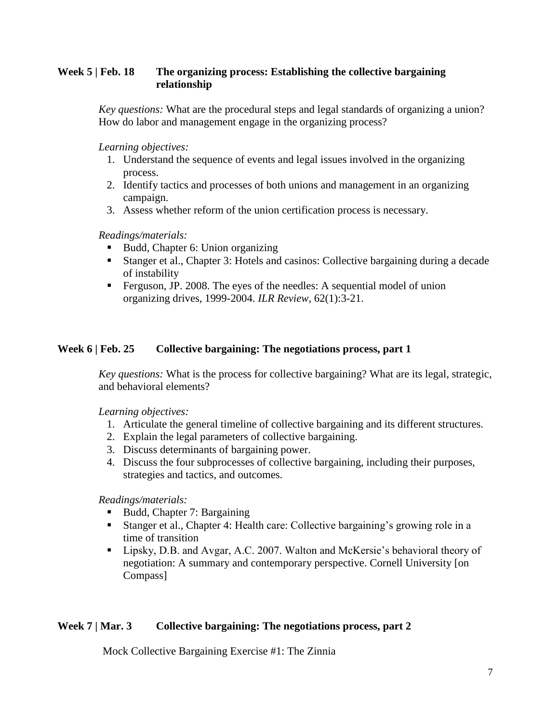# **Week 5 | Feb. 18 The organizing process: Establishing the collective bargaining relationship**

*Key questions:* What are the procedural steps and legal standards of organizing a union? How do labor and management engage in the organizing process?

*Learning objectives:*

- 1. Understand the sequence of events and legal issues involved in the organizing process.
- 2. Identify tactics and processes of both unions and management in an organizing campaign.
- 3. Assess whether reform of the union certification process is necessary.

*Readings/materials:*

- Budd, Chapter 6: Union organizing
- Stanger et al., Chapter 3: Hotels and casinos: Collective bargaining during a decade of instability
- Ferguson, JP. 2008. The eyes of the needles: A sequential model of union organizing drives, 1999-2004. *ILR Review*, 62(1):3-21.

# **Week 6 | Feb. 25 Collective bargaining: The negotiations process, part 1**

*Key questions:* What is the process for collective bargaining? What are its legal, strategic, and behavioral elements?

*Learning objectives:*

- 1. Articulate the general timeline of collective bargaining and its different structures.
- 2. Explain the legal parameters of collective bargaining.
- 3. Discuss determinants of bargaining power.
- 4. Discuss the four subprocesses of collective bargaining, including their purposes, strategies and tactics, and outcomes.

*Readings/materials:*

- Budd, Chapter 7: Bargaining
- Stanger et al., Chapter 4: Health care: Collective bargaining's growing role in a time of transition
- Lipsky, D.B. and Avgar, A.C. 2007. Walton and McKersie's behavioral theory of negotiation: A summary and contemporary perspective. Cornell University [on Compass]

# **Week 7 | Mar. 3 Collective bargaining: The negotiations process, part 2**

Mock Collective Bargaining Exercise #1: The Zinnia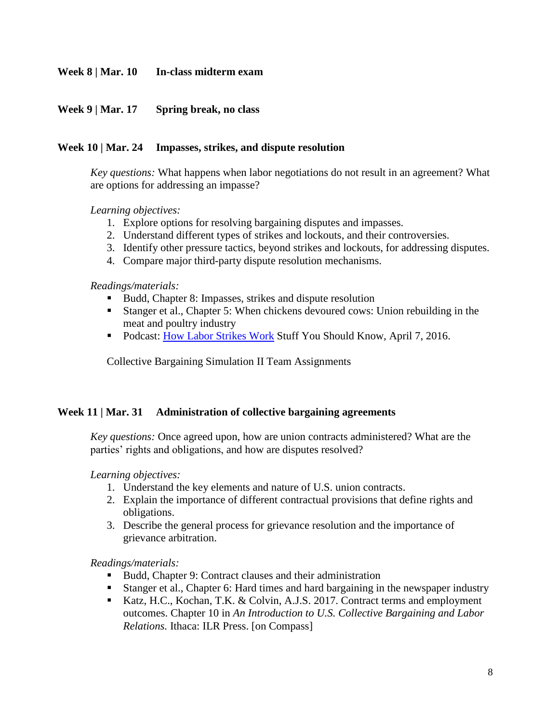#### **Week 8 | Mar. 10 In-class midterm exam**

#### **Week 9 | Mar. 17 Spring break, no class**

#### **Week 10 | Mar. 24 Impasses, strikes, and dispute resolution**

*Key questions:* What happens when labor negotiations do not result in an agreement? What are options for addressing an impasse?

*Learning objectives:*

- 1. Explore options for resolving bargaining disputes and impasses.
- 2. Understand different types of strikes and lockouts, and their controversies.
- 3. Identify other pressure tactics, beyond strikes and lockouts, for addressing disputes.
- 4. Compare major third-party dispute resolution mechanisms.

*Readings/materials:*

- Budd, Chapter 8: Impasses, strikes and dispute resolution
- Stanger et al., Chapter 5: When chickens devoured cows: Union rebuilding in the meat and poultry industry
- Podcast: [How Labor Strikes Work](http://www.stuffyoushouldknow.com/podcasts/how-labor-strikes-work.htm) Stuff You Should Know, April 7, 2016.

Collective Bargaining Simulation II Team Assignments

#### **Week 11 | Mar. 31 Administration of collective bargaining agreements**

*Key questions:* Once agreed upon, how are union contracts administered? What are the parties' rights and obligations, and how are disputes resolved?

*Learning objectives:*

- 1. Understand the key elements and nature of U.S. union contracts.
- 2. Explain the importance of different contractual provisions that define rights and obligations.
- 3. Describe the general process for grievance resolution and the importance of grievance arbitration.

*Readings/materials:*

- Budd, Chapter 9: Contract clauses and their administration
- Stanger et al., Chapter 6: Hard times and hard bargaining in the newspaper industry
- Katz, H.C., Kochan, T.K. & Colvin, A.J.S. 2017. Contract terms and employment outcomes. Chapter 10 in *An Introduction to U.S. Collective Bargaining and Labor Relations.* Ithaca: ILR Press. [on Compass]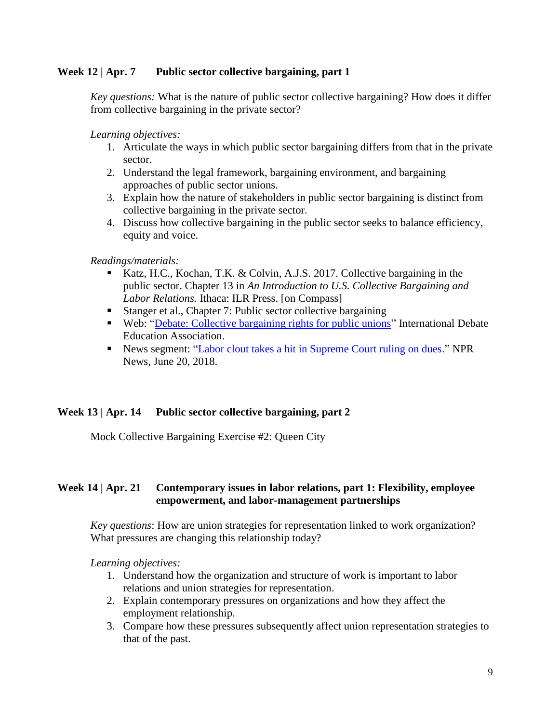#### **Week 12 | Apr. 7 Public sector collective bargaining, part 1**

*Key questions:* What is the nature of public sector collective bargaining? How does it differ from collective bargaining in the private sector?

*Learning objectives:* 

- 1. Articulate the ways in which public sector bargaining differs from that in the private sector.
- 2. Understand the legal framework, bargaining environment, and bargaining approaches of public sector unions.
- 3. Explain how the nature of stakeholders in public sector bargaining is distinct from collective bargaining in the private sector.
- 4. Discuss how collective bargaining in the public sector seeks to balance efficiency, equity and voice.

*Readings/materials:*

- Katz, H.C., Kochan, T.K. & Colvin, A.J.S. 2017. Collective bargaining in the public sector. Chapter 13 in *An Introduction to U.S. Collective Bargaining and Labor Relations.* Ithaca: ILR Press. [on Compass]
- Stanger et al., Chapter 7: Public sector collective bargaining
- Web: ["Debate: Collective bargaining rights for public unions"](http://idebate.org/debatabase/debates/house-would-abolish-all-collective-bargaining-rights-claimed-trades-unions) International Debate Education Association.
- News segment: ["Labor clout takes a hit in Supreme Court ruling on dues.](https://www.npr.org/2018/06/30/624513403/labor-clout-takes-a-hit-in-supreme-court-ruling-on-dues)" NPR News, June 20, 2018.

# **Week 13 | Apr. 14 Public sector collective bargaining, part 2**

Mock Collective Bargaining Exercise #2: Queen City

# **Week 14 | Apr. 21 Contemporary issues in labor relations, part 1: Flexibility, employee empowerment, and labor-management partnerships**

*Key questions*: How are union strategies for representation linked to work organization? What pressures are changing this relationship today?

*Learning objectives:* 

- 1. Understand how the organization and structure of work is important to labor relations and union strategies for representation.
- 2. Explain contemporary pressures on organizations and how they affect the employment relationship.
- 3. Compare how these pressures subsequently affect union representation strategies to that of the past.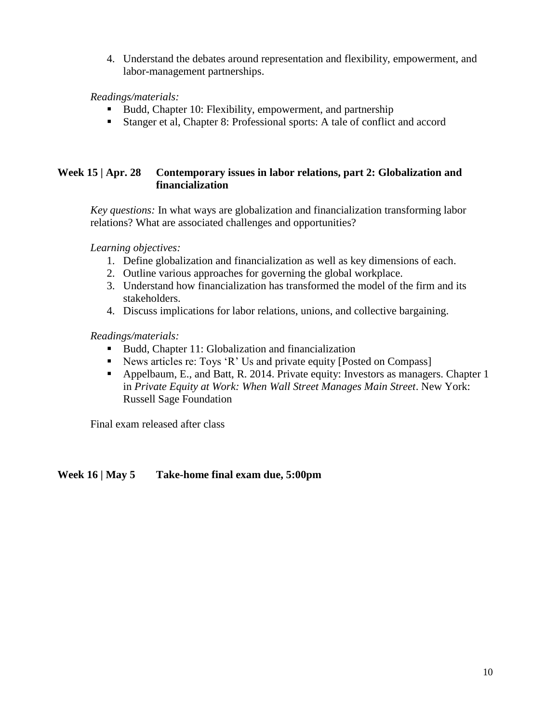4. Understand the debates around representation and flexibility, empowerment, and labor-management partnerships.

*Readings/materials:*

- Budd, Chapter 10: Flexibility, empowerment, and partnership
- Stanger et al, Chapter 8: Professional sports: A tale of conflict and accord

# **Week 15 | Apr. 28 Contemporary issues in labor relations, part 2: Globalization and financialization**

*Key questions:* In what ways are globalization and financialization transforming labor relations? What are associated challenges and opportunities?

*Learning objectives:* 

- 1. Define globalization and financialization as well as key dimensions of each.
- 2. Outline various approaches for governing the global workplace.
- 3. Understand how financialization has transformed the model of the firm and its stakeholders.
- 4. Discuss implications for labor relations, unions, and collective bargaining.

#### *Readings/materials:*

- Budd, Chapter 11: Globalization and financialization
- News articles re: Toys 'R' Us and private equity [Posted on Compass]
- Appelbaum, E., and Batt, R. 2014. Private equity: Investors as managers. Chapter 1 in *Private Equity at Work: When Wall Street Manages Main Street*. New York: Russell Sage Foundation

Final exam released after class

# **Week 16 | May 5 Take-home final exam due, 5:00pm**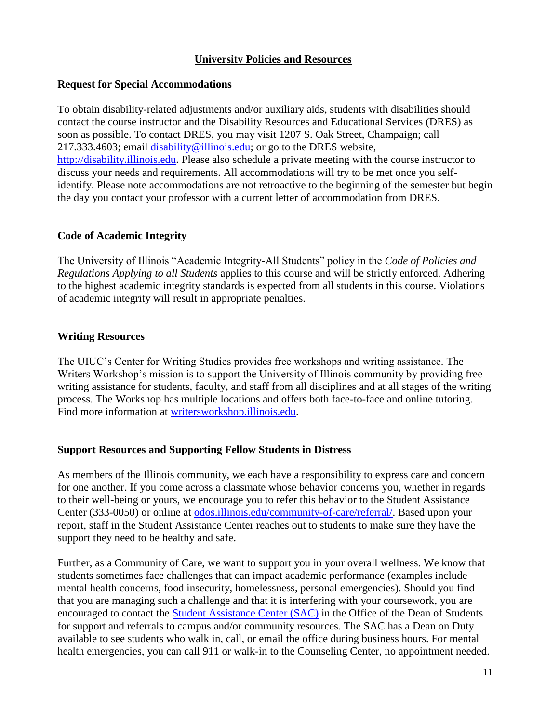#### **University Policies and Resources**

#### **Request for Special Accommodations**

To obtain disability-related adjustments and/or auxiliary aids, students with disabilities should contact the course instructor and the Disability Resources and Educational Services (DRES) as soon as possible. To contact DRES, you may visit 1207 S. Oak Street, Champaign; call 217.333.4603; email [disability@illinois.edu;](mailto:disability@illinois.edu) or go to the DRES website, [http://disability.illinois.edu.](http://disability.illinois.edu/) Please also schedule a private meeting with the course instructor to discuss your needs and requirements. All accommodations will try to be met once you selfidentify. Please note accommodations are not retroactive to the beginning of the semester but begin the day you contact your professor with a current letter of accommodation from DRES.

#### **Code of Academic Integrity**

The University of Illinois "Academic Integrity-All Students" policy in the *Code of Policies and Regulations Applying to all Students* applies to this course and will be strictly enforced. Adhering to the highest academic integrity standards is expected from all students in this course. Violations of academic integrity will result in appropriate penalties.

#### **Writing Resources**

The UIUC's Center for Writing Studies provides free workshops and writing assistance. The Writers Workshop's mission is to support the University of Illinois community by providing free writing assistance for students, faculty, and staff from all disciplines and at all stages of the writing process. The Workshop has multiple locations and offers both face-to-face and online tutoring. Find more information at [writersworkshop.illinois.edu.](http://writersworkshop.illinois.edu/)

# **Support Resources and Supporting Fellow Students in Distress**

As members of the Illinois community, we each have a responsibility to express care and concern for one another. If you come across a classmate whose behavior concerns you, whether in regards to their well-being or yours, we encourage you to refer this behavior to the Student Assistance Center (333-0050) or online at [odos.illinois.edu/community-of-care/referral/.](https://odos.illinois.edu/community-of-care/referral/) Based upon your report, staff in the Student Assistance Center reaches out to students to make sure they have the support they need to be healthy and safe.

Further, as a Community of Care, we want to support you in your overall wellness. We know that students sometimes face challenges that can impact academic performance (examples include mental health concerns, food insecurity, homelessness, personal emergencies). Should you find that you are managing such a challenge and that it is interfering with your coursework, you are encouraged to contact the [Student Assistance Center \(SAC\)](https://odos.illinois.edu/community-of-care/student-assistance-center/) in the Office of the Dean of Students for support and referrals to campus and/or community resources. The SAC has a Dean on Duty available to see students who walk in, call, or email the office during business hours. For mental health emergencies, you can call 911 or walk-in to the Counseling Center, no appointment needed.